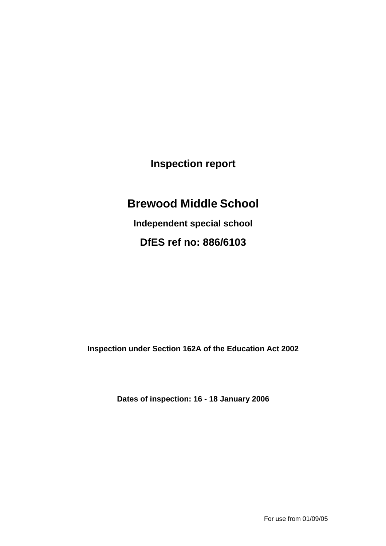**Inspection report** 

# **Brewood Middle School**

**Independent special school DfES ref no: 886/6103** 

**Inspection under Section 162A of the Education Act 2002** 

**Dates of inspection: 16 - 18 January 2006**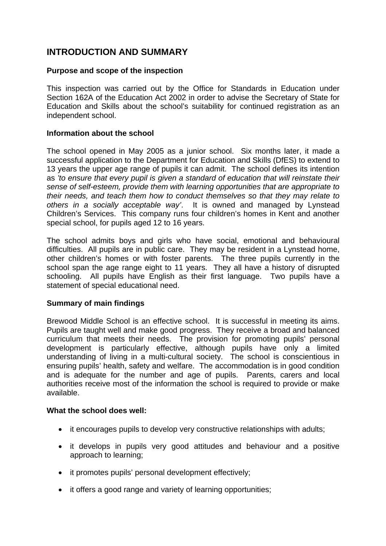# **INTRODUCTION AND SUMMARY**

### **Purpose and scope of the inspection**

This inspection was carried out by the Office for Standards in Education under Section 162A of the Education Act 2002 in order to advise the Secretary of State for Education and Skills about the school's suitability for continued registration as an independent school.

### **Information about the school**

The school opened in May 2005 as a junior school. Six months later, it made a successful application to the Department for Education and Skills (DfES) to extend to 13 years the upper age range of pupils it can admit. The school defines its intention as *'to ensure that every pupil is given a standard of education that will reinstate their sense of self-esteem, provide them with learning opportunities that are appropriate to their needs, and teach them how to conduct themselves so that they may relate to others in a socially acceptable way'*. It is owned and managed by Lynstead Children's Services. This company runs four children's homes in Kent and another special school, for pupils aged 12 to 16 years.

The school admits boys and girls who have social, emotional and behavioural difficulties. All pupils are in public care. They may be resident in a Lynstead home, other children's homes or with foster parents. The three pupils currently in the school span the age range eight to 11 years. They all have a history of disrupted schooling. All pupils have English as their first language. Two pupils have a statement of special educational need.

### **Summary of main findings**

Brewood Middle School is an effective school. It is successful in meeting its aims. Pupils are taught well and make good progress. They receive a broad and balanced curriculum that meets their needs. The provision for promoting pupils' personal development is particularly effective, although pupils have only a limited understanding of living in a multi-cultural society. The school is conscientious in ensuring pupils' health, safety and welfare. The accommodation is in good condition and is adequate for the number and age of pupils. Parents, carers and local authorities receive most of the information the school is required to provide or make available.

### **What the school does well:**

- it encourages pupils to develop very constructive relationships with adults;
- it develops in pupils very good attitudes and behaviour and a positive approach to learning;
- it promotes pupils' personal development effectively;
- it offers a good range and variety of learning opportunities;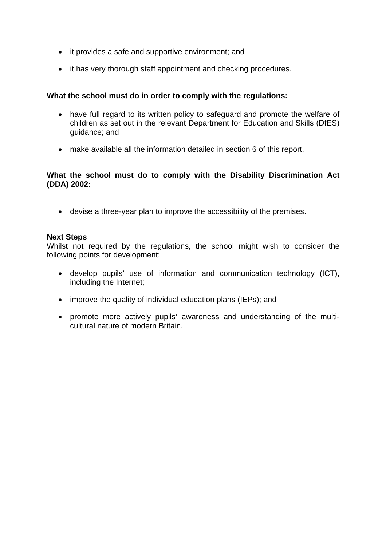- it provides a safe and supportive environment; and
- it has very thorough staff appointment and checking procedures.

### **What the school must do in order to comply with the regulations:**

- have full regard to its written policy to safeguard and promote the welfare of children as set out in the relevant Department for Education and Skills (DfES) guidance; and
- make available all the information detailed in section 6 of this report.

### **What the school must do to comply with the Disability Discrimination Act (DDA) 2002:**

• devise a three-year plan to improve the accessibility of the premises.

### **Next Steps**

Whilst not required by the regulations, the school might wish to consider the following points for development:

- develop pupils' use of information and communication technology (ICT), including the Internet;
- improve the quality of individual education plans (IEPs); and
- promote more actively pupils' awareness and understanding of the multicultural nature of modern Britain.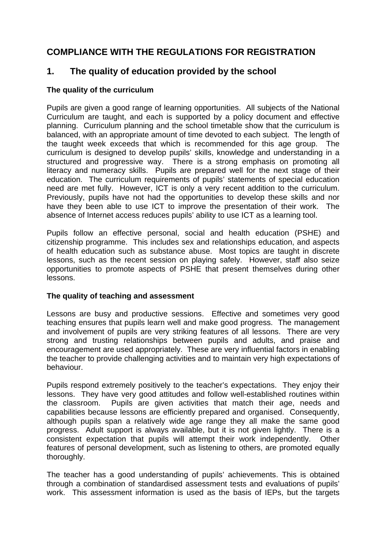# **COMPLIANCE WITH THE REGULATIONS FOR REGISTRATION**

# **1. The quality of education provided by the school**

### **The quality of the curriculum**

Pupils are given a good range of learning opportunities. All subjects of the National Curriculum are taught, and each is supported by a policy document and effective planning. Curriculum planning and the school timetable show that the curriculum is balanced, with an appropriate amount of time devoted to each subject. The length of the taught week exceeds that which is recommended for this age group. The curriculum is designed to develop pupils' skills, knowledge and understanding in a structured and progressive way. There is a strong emphasis on promoting all literacy and numeracy skills. Pupils are prepared well for the next stage of their education. The curriculum requirements of pupils' statements of special education need are met fully. However, ICT is only a very recent addition to the curriculum. Previously, pupils have not had the opportunities to develop these skills and nor have they been able to use ICT to improve the presentation of their work. The absence of Internet access reduces pupils' ability to use ICT as a learning tool.

Pupils follow an effective personal, social and health education (PSHE) and citizenship programme. This includes sex and relationships education, and aspects of health education such as substance abuse. Most topics are taught in discrete lessons, such as the recent session on playing safely. However, staff also seize opportunities to promote aspects of PSHE that present themselves during other lessons.

### **The quality of teaching and assessment**

Lessons are busy and productive sessions. Effective and sometimes very good teaching ensures that pupils learn well and make good progress. The management and involvement of pupils are very striking features of all lessons. There are very strong and trusting relationships between pupils and adults, and praise and encouragement are used appropriately. These are very influential factors in enabling the teacher to provide challenging activities and to maintain very high expectations of behaviour.

Pupils respond extremely positively to the teacher's expectations. They enjoy their lessons. They have very good attitudes and follow well-established routines within the classroom. Pupils are given activities that match their age, needs and capabilities because lessons are efficiently prepared and organised. Consequently, although pupils span a relatively wide age range they all make the same good progress. Adult support is always available, but it is not given lightly. There is a consistent expectation that pupils will attempt their work independently. Other features of personal development, such as listening to others, are promoted equally thoroughly.

The teacher has a good understanding of pupils' achievements. This is obtained through a combination of standardised assessment tests and evaluations of pupils' work. This assessment information is used as the basis of IEPs, but the targets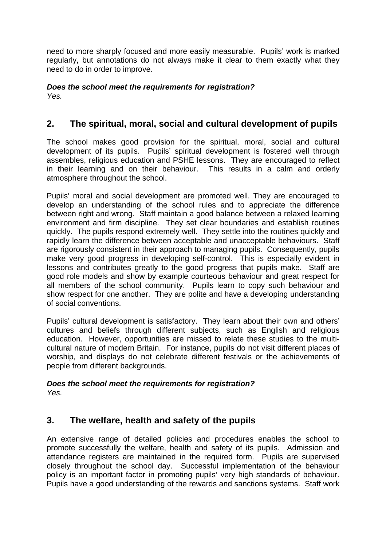need to more sharply focused and more easily measurable. Pupils' work is marked regularly, but annotations do not always make it clear to them exactly what they need to do in order to improve.

# *Does the school meet the requirements for registration?*

*Yes.* 

# **2. The spiritual, moral, social and cultural development of pupils**

The school makes good provision for the spiritual, moral, social and cultural development of its pupils. Pupils' spiritual development is fostered well through assembles, religious education and PSHE lessons. They are encouraged to reflect in their learning and on their behaviour. This results in a calm and orderly atmosphere throughout the school.

Pupils' moral and social development are promoted well. They are encouraged to develop an understanding of the school rules and to appreciate the difference between right and wrong. Staff maintain a good balance between a relaxed learning environment and firm discipline. They set clear boundaries and establish routines quickly. The pupils respond extremely well. They settle into the routines quickly and rapidly learn the difference between acceptable and unacceptable behaviours. Staff are rigorously consistent in their approach to managing pupils. Consequently, pupils make very good progress in developing self-control. This is especially evident in lessons and contributes greatly to the good progress that pupils make. Staff are good role models and show by example courteous behaviour and great respect for all members of the school community. Pupils learn to copy such behaviour and show respect for one another. They are polite and have a developing understanding of social conventions.

Pupils' cultural development is satisfactory. They learn about their own and others' cultures and beliefs through different subjects, such as English and religious education. However, opportunities are missed to relate these studies to the multicultural nature of modern Britain. For instance, pupils do not visit different places of worship, and displays do not celebrate different festivals or the achievements of people from different backgrounds.

### *Does the school meet the requirements for registration? Yes.*

# **3. The welfare, health and safety of the pupils**

An extensive range of detailed policies and procedures enables the school to promote successfully the welfare, health and safety of its pupils. Admission and attendance registers are maintained in the required form. Pupils are supervised closely throughout the school day. Successful implementation of the behaviour policy is an important factor in promoting pupils' very high standards of behaviour. Pupils have a good understanding of the rewards and sanctions systems. Staff work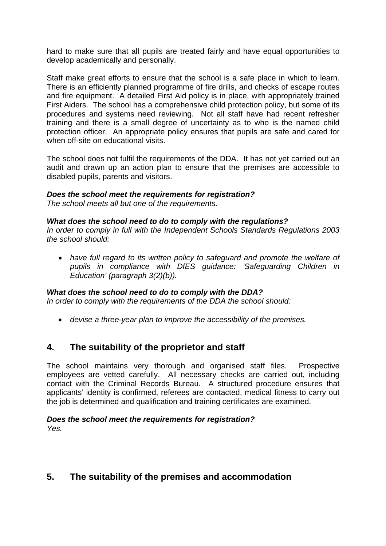hard to make sure that all pupils are treated fairly and have equal opportunities to develop academically and personally.

Staff make great efforts to ensure that the school is a safe place in which to learn. There is an efficiently planned programme of fire drills, and checks of escape routes and fire equipment. A detailed First Aid policy is in place, with appropriately trained First Aiders. The school has a comprehensive child protection policy, but some of its procedures and systems need reviewing. Not all staff have had recent refresher training and there is a small degree of uncertainty as to who is the named child protection officer. An appropriate policy ensures that pupils are safe and cared for when off-site on educational visits.

The school does not fulfil the requirements of the DDA. It has not yet carried out an audit and drawn up an action plan to ensure that the premises are accessible to disabled pupils, parents and visitors.

### *Does the school meet the requirements for registration?*

*The school meets all but one of the requirements.* 

### *What does the school need to do to comply with the regulations?*

*In order to comply in full with the Independent Schools Standards Regulations 2003 the school should:* 

• *have full regard to its written policy to safeguard and promote the welfare of pupils in compliance with DfES guidance: 'Safeguarding Children in Education' (paragraph 3(2)(b)).* 

### *What does the school need to do to comply with the DDA?*

*In order to comply with the requirements of the DDA the school should:* 

• *devise a three-year plan to improve the accessibility of the premises.* 

### **4. The suitability of the proprietor and staff**

The school maintains very thorough and organised staff files. Prospective employees are vetted carefully. All necessary checks are carried out, including contact with the Criminal Records Bureau. A structured procedure ensures that applicants' identity is confirmed, referees are contacted, medical fitness to carry out the job is determined and qualification and training certificates are examined.

### *Does the school meet the requirements for registration? Yes.*

# **5. The suitability of the premises and accommodation**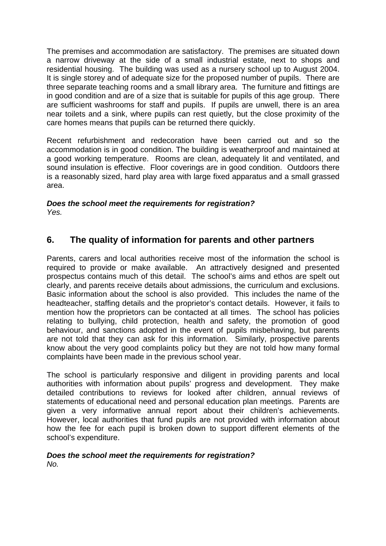The premises and accommodation are satisfactory. The premises are situated down a narrow driveway at the side of a small industrial estate, next to shops and residential housing. The building was used as a nursery school up to August 2004. It is single storey and of adequate size for the proposed number of pupils. There are three separate teaching rooms and a small library area. The furniture and fittings are in good condition and are of a size that is suitable for pupils of this age group. There are sufficient washrooms for staff and pupils. If pupils are unwell, there is an area near toilets and a sink, where pupils can rest quietly, but the close proximity of the care homes means that pupils can be returned there quickly.

Recent refurbishment and redecoration have been carried out and so the accommodation is in good condition. The building is weatherproof and maintained at a good working temperature. Rooms are clean, adequately lit and ventilated, and sound insulation is effective. Floor coverings are in good condition. Outdoors there is a reasonably sized, hard play area with large fixed apparatus and a small grassed area.

### *Does the school meet the requirements for registration? Yes.*

# **6. The quality of information for parents and other partners**

Parents, carers and local authorities receive most of the information the school is required to provide or make available. An attractively designed and presented prospectus contains much of this detail. The school's aims and ethos are spelt out clearly, and parents receive details about admissions, the curriculum and exclusions. Basic information about the school is also provided. This includes the name of the headteacher, staffing details and the proprietor's contact details. However, it fails to mention how the proprietors can be contacted at all times. The school has policies relating to bullying, child protection, health and safety, the promotion of good behaviour, and sanctions adopted in the event of pupils misbehaving, but parents are not told that they can ask for this information. Similarly, prospective parents know about the very good complaints policy but they are not told how many formal complaints have been made in the previous school year.

The school is particularly responsive and diligent in providing parents and local authorities with information about pupils' progress and development. They make detailed contributions to reviews for looked after children, annual reviews of statements of educational need and personal education plan meetings. Parents are given a very informative annual report about their children's achievements. However, local authorities that fund pupils are not provided with information about how the fee for each pupil is broken down to support different elements of the school's expenditure.

# *Does the school meet the requirements for registration?*

*No.*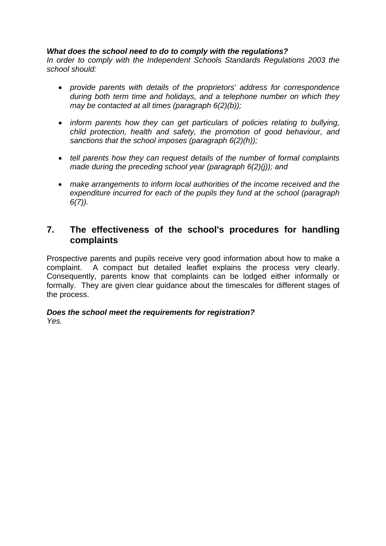### *What does the school need to do to comply with the regulations?*

*In order to comply with the Independent Schools Standards Regulations 2003 the school should:* 

- *provide parents with details of the proprietors' address for correspondence during both term time and holidays, and a telephone number on which they may be contacted at all times (paragraph 6(2)(b));*
- *inform parents how they can get particulars of policies relating to bullying, child protection, health and safety, the promotion of good behaviour, and sanctions that the school imposes (paragraph 6(2)(h));*
- *tell parents how they can request details of the number of formal complaints made during the preceding school year (paragraph 6(2)(j)); and*
- *make arrangements to inform local authorities of the income received and the expenditure incurred for each of the pupils they fund at the school (paragraph 6(7)).*

### **7. The effectiveness of the school's procedures for handling complaints**

Prospective parents and pupils receive very good information about how to make a complaint. A compact but detailed leaflet explains the process very clearly. Consequently, parents know that complaints can be lodged either informally or formally. They are given clear guidance about the timescales for different stages of the process.

### *Does the school meet the requirements for registration? Yes.*